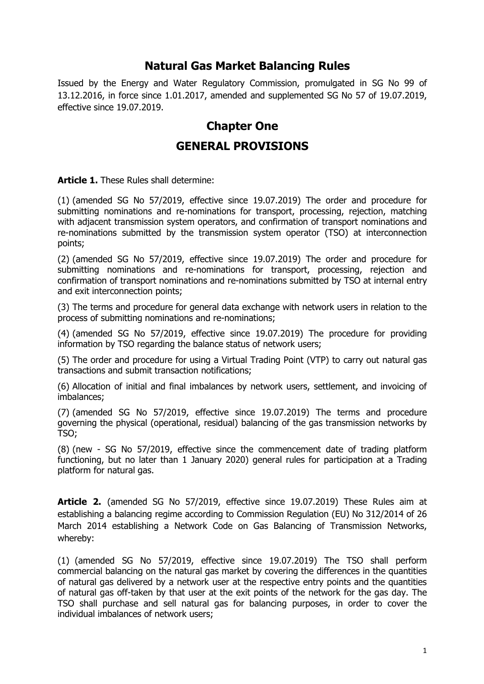#### **Natural Gas Market Balancing Rules**

Issued by the Energy and Water Regulatory Commission, promulgated in SG No 99 of 13.12.2016, in force since 1.01.2017, amended and supplemented SG No 57 of 19.07.2019, effective since 19.07.2019.

# **Chapter One**

#### **GENERAL PROVISIONS**

**Article 1.** These Rules shall determine:

(1) (amended SG No 57/2019, effective since 19.07.2019) The order and procedure for submitting nominations and re-nominations for transport, processing, rejection, matching with adjacent transmission system operators, and confirmation of transport nominations and re-nominations submitted by the transmission system operator (TSO) at interconnection points;

(2) (amended SG No 57/2019, effective since 19.07.2019) The order and procedure for submitting nominations and re-nominations for transport, processing, rejection and confirmation of transport nominations and re-nominations submitted by TSO at internal entry and exit interconnection points;

(3) The terms and procedure for general data exchange with network users in relation to the process of submitting nominations and re-nominations;

(4) (amended SG No 57/2019, effective since 19.07.2019) The procedure for providing information by TSO regarding the balance status of network users;

(5) The order and procedure for using a Virtual Trading Point (VTP) to carry out natural gas transactions and submit transaction notifications;

(6) Allocation of initial and final imbalances by network users, settlement, and invoicing of imbalances;

(7) (amended SG No 57/2019, effective since 19.07.2019) The terms and procedure governing the physical (operational, residual) balancing of the gas transmission networks by TSO;

(8) (new - SG No 57/2019, effective since the commencement date of trading platform functioning, but no later than 1 January 2020) general rules for participation at a Trading platform for natural gas.

**Article 2.** (amended SG No 57/2019, effective since 19.07.2019) These Rules aim at establishing a balancing regime according to Commission Regulation (EU) No 312/2014 of 26 March 2014 establishing a Network Code on Gas Balancing of Transmission Networks, whereby:

(1) (amended SG No 57/2019, effective since 19.07.2019) The TSO shall perform commercial balancing on the natural gas market by covering the differences in the quantities of natural gas delivered by a network user at the respective entry points and the quantities of natural gas off-taken by that user at the exit points of the network for the gas day. The TSO shall purchase and sell natural gas for balancing purposes, in order to cover the individual imbalances of network users;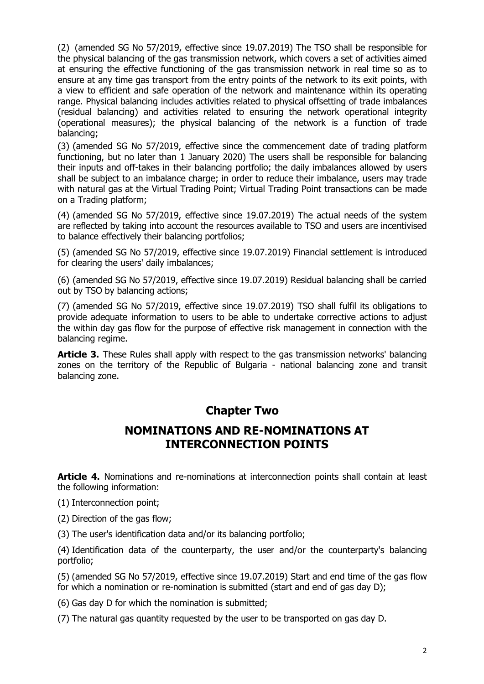(2) (amended SG No 57/2019, effective since 19.07.2019) The TSO shall be responsible for the physical balancing of the gas transmission network, which covers a set of activities aimed at ensuring the effective functioning of the gas transmission network in real time so as to ensure at any time gas transport from the entry points of the network to its exit points, with a view to efficient and safe operation of the network and maintenance within its operating range. Physical balancing includes activities related to physical offsetting of trade imbalances (residual balancing) and activities related to ensuring the network operational integrity (operational measures); the physical balancing of the network is a function of trade balancing;

(3) (amended SG No 57/2019, effective since the commencement date of trading platform functioning, but no later than 1 January 2020) The users shall be responsible for balancing their inputs and off-takes in their balancing portfolio; the daily imbalances allowed by users shall be subject to an imbalance charge; in order to reduce their imbalance, users may trade with natural gas at the Virtual Trading Point; Virtual Trading Point transactions can be made on a Trading platform;

(4) (amended SG No 57/2019, effective since 19.07.2019) The actual needs of the system are reflected by taking into account the resources available to TSO and users are incentivised to balance effectively their balancing portfolios;

(5) (amended SG No 57/2019, effective since 19.07.2019) Financial settlement is introduced for clearing the users' daily imbalances;

(6) (amended SG No 57/2019, effective since 19.07.2019) Residual balancing shall be carried out by TSO by balancing actions;

(7) (amended SG No 57/2019, effective since 19.07.2019) TSO shall fulfil its obligations to provide adequate information to users to be able to undertake corrective actions to adjust the within day gas flow for the purpose of effective risk management in connection with the balancing regime.

**Article 3.** These Rules shall apply with respect to the gas transmission networks' balancing zones on the territory of the Republic of Bulgaria - national balancing zone and transit balancing zone.

# **Chapter Two**

### **NOMINATIONS AND RE-NOMINATIONS AT INTERCONNECTION POINTS**

**Article 4.** Nominations and re-nominations at interconnection points shall contain at least the following information:

(1) Interconnection point;

(2) Direction of the gas flow;

(3) The user's identification data and/or its balancing portfolio;

(4) Identification data of the counterparty, the user and/or the counterparty's balancing portfolio;

(5) (amended SG No 57/2019, effective since 19.07.2019) Start and end time of the gas flow for which a nomination or re-nomination is submitted (start and end of gas day D);

(6) Gas day D for which the nomination is submitted;

(7) The natural gas quantity requested by the user to be transported on gas day D.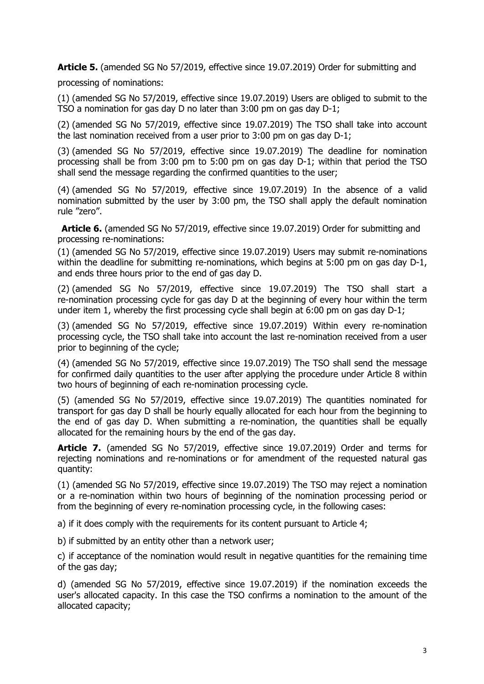**Article 5.** (amended SG No 57/2019, effective since 19.07.2019) Order for submitting and

processing of nominations:

(1) (amended SG No 57/2019, effective since 19.07.2019) Users are obliged to submit to the TSO a nomination for gas day D no later than 3:00 pm on gas day D-1;

(2) (amended SG No 57/2019, effective since 19.07.2019) The TSO shall take into account the last nomination received from a user prior to 3:00 pm on gas day D-1;

(3) (amended SG No 57/2019, effective since 19.07.2019) The deadline for nomination processing shall be from 3:00 pm to 5:00 pm on gas day D-1; within that period the TSO shall send the message regarding the confirmed quantities to the user;

(4) (amended SG No 57/2019, effective since 19.07.2019) In the absence of a valid nomination submitted by the user by 3:00 pm, the TSO shall apply the default nomination rule "zero".

**Article 6.** (amended SG No 57/2019, effective since 19.07.2019) Order for submitting and processing re-nominations:

(1) (amended SG No 57/2019, effective since 19.07.2019) Users may submit re-nominations within the deadline for submitting re-nominations, which begins at 5:00 pm on gas day D-1, and ends three hours prior to the end of gas day D.

(2) (amended SG No 57/2019, effective since 19.07.2019) The TSO shall start a re-nomination processing cycle for gas day D at the beginning of every hour within the term under item 1, whereby the first processing cycle shall begin at 6:00 pm on gas day D-1;

(3) (amended SG No 57/2019, effective since 19.07.2019) Within every re-nomination processing cycle, the TSO shall take into account the last re-nomination received from a user prior to beginning of the cycle;

(4) (amended SG No 57/2019, effective since 19.07.2019) The TSO shall send the message for confirmed daily quantities to the user after applying the procedure under Article 8 within two hours of beginning of each re-nomination processing cycle.

(5) (amended SG No 57/2019, effective since 19.07.2019) The quantities nominated for transport for gas day D shall be hourly equally allocated for each hour from the beginning to the end of gas day D. When submitting a re-nomination, the quantities shall be equally allocated for the remaining hours by the end of the gas day.

**Article 7.** (amended SG No 57/2019, effective since 19.07.2019) Order and terms for rejecting nominations and re-nominations or for amendment of the requested natural gas quantity:

(1) (amended SG No 57/2019, effective since 19.07.2019) The TSO may reject a nomination or a re-nomination within two hours of beginning of the nomination processing period or from the beginning of every re-nomination processing cycle, in the following cases:

a) if it does comply with the requirements for its content pursuant to Article 4;

b) if submitted by an entity other than a network user;

c) if acceptance of the nomination would result in negative quantities for the remaining time of the gas day;

d) (amended SG No 57/2019, effective since 19.07.2019) if the nomination exceeds the user's allocated capacity. In this case the TSO confirms a nomination to the amount of the allocated capacity;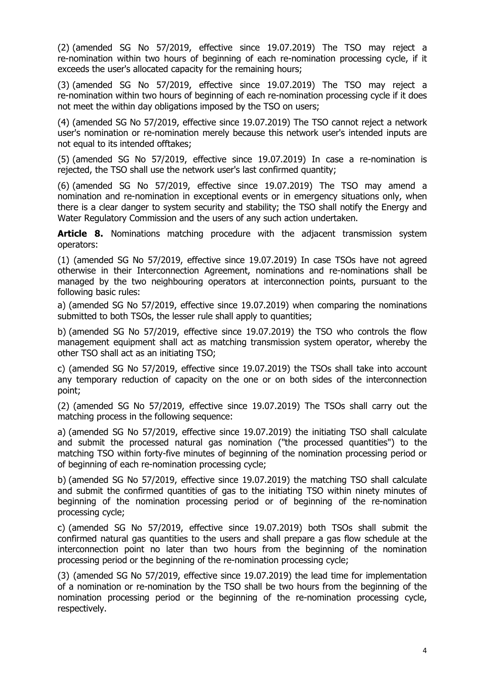(2) (amended SG No 57/2019, effective since 19.07.2019) The TSO may reject a re-nomination within two hours of beginning of each re-nomination processing cycle, if it exceeds the user's allocated capacity for the remaining hours;

(3) (amended SG No 57/2019, effective since 19.07.2019) The TSO may reject a re-nomination within two hours of beginning of each re-nomination processing cycle if it does not meet the within day obligations imposed by the TSO on users;

(4) (amended SG No 57/2019, effective since 19.07.2019) The TSO cannot reject a network user's nomination or re-nomination merely because this network user's intended inputs are not equal to its intended offtakes;

(5) (amended SG No 57/2019, effective since 19.07.2019) In case a re-nomination is rejected, the TSO shall use the network user's last confirmed quantity;

(6) (amended SG No 57/2019, effective since 19.07.2019) The TSO may amend a nomination and re-nomination in exceptional events or in emergency situations only, when there is a clear danger to system security and stability; the TSO shall notify the Energy and Water Regulatory Commission and the users of any such action undertaken.

**Article 8.** Nominations matching procedure with the adjacent transmission system operators:

(1) (amended SG No 57/2019, effective since 19.07.2019) In case TSOs have not agreed otherwise in their Interconnection Agreement, nominations and re-nominations shall be managed by the two neighbouring operators at interconnection points, pursuant to the following basic rules:

a) (amended SG No 57/2019, effective since 19.07.2019) when comparing the nominations submitted to both TSOs, the lesser rule shall apply to quantities;

b) (amended SG No 57/2019, effective since 19.07.2019) the TSO who controls the flow management equipment shall act as matching transmission system operator, whereby the other TSO shall act as an initiating TSO;

c) (amended SG No 57/2019, effective since 19.07.2019) the TSOs shall take into account any temporary reduction of capacity on the one or on both sides of the interconnection point;

(2) (amended SG No 57/2019, effective since 19.07.2019) The TSOs shall carry out the matching process in the following sequence:

a) (amended SG No 57/2019, effective since 19.07.2019) the initiating TSO shall calculate and submit the processed natural gas nomination ("the processed quantities") to the matching TSO within forty-five minutes of beginning of the nomination processing period or of beginning of each re-nomination processing cycle;

b) (amended SG No 57/2019, effective since 19.07.2019) the matching TSO shall calculate and submit the confirmed quantities of gas to the initiating TSO within ninety minutes of beginning of the nomination processing period or of beginning of the re-nomination processing cycle;

c) (amended SG No 57/2019, effective since 19.07.2019) both TSOs shall submit the confirmed natural gas quantities to the users and shall prepare a gas flow schedule at the interconnection point no later than two hours from the beginning of the nomination processing period or the beginning of the re-nomination processing cycle;

(3) (amended SG No 57/2019, effective since 19.07.2019) the lead time for implementation of a nomination or re-nomination by the TSO shall be two hours from the beginning of the nomination processing period or the beginning of the re-nomination processing cycle, respectively.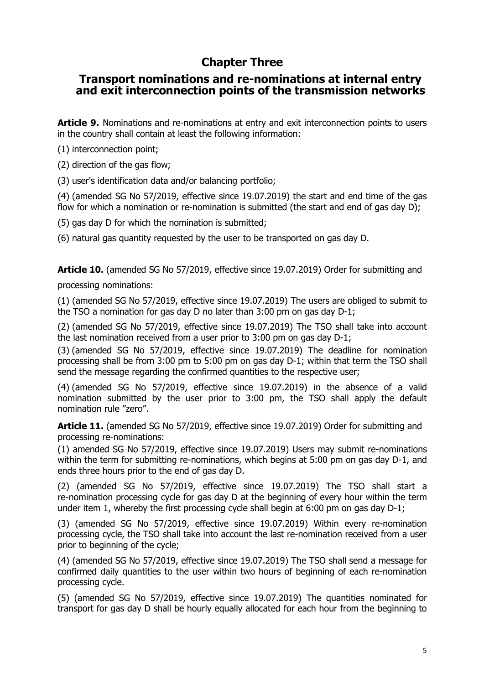# **Chapter Three**

#### **Transport nominations and re-nominations at internal entry and exit interconnection points of the transmission networks**

**Article 9.** Nominations and re-nominations at entry and exit interconnection points to users in the country shall contain at least the following information:

(1) interconnection point;

(2) direction of the gas flow;

(3) user's identification data and/or balancing portfolio;

(4) (amended SG No 57/2019, effective since 19.07.2019) the start and end time of the gas flow for which a nomination or re-nomination is submitted (the start and end of gas day D);

(5) gas day D for which the nomination is submitted;

(6) natural gas quantity requested by the user to be transported on gas day D.

**Article 10.** (amended SG No 57/2019, effective since 19.07.2019) Order for submitting and processing nominations:

(1) (amended SG No 57/2019, effective since 19.07.2019) The users are obliged to submit to the TSO a nomination for gas day D no later than 3:00 pm on gas day D-1;

(2) (amended SG No 57/2019, effective since 19.07.2019) The TSO shall take into account the last nomination received from a user prior to 3:00 pm on gas day D-1;

(3) (amended SG No 57/2019, effective since 19.07.2019) The deadline for nomination processing shall be from 3:00 pm to 5:00 pm on gas day D-1; within that term the TSO shall send the message regarding the confirmed quantities to the respective user;

(4) (amended SG No 57/2019, effective since 19.07.2019) in the absence of a valid nomination submitted by the user prior to 3:00 pm, the TSO shall apply the default nomination rule "zero".

**Article 11.** (amended SG No 57/2019, effective since 19.07.2019) Order for submitting and processing re-nominations:

(1) amended SG No 57/2019, effective since 19.07.2019) Users may submit re-nominations within the term for submitting re-nominations, which begins at 5:00 pm on gas day D-1, and ends three hours prior to the end of gas day D.

(2) (amended SG No 57/2019, effective since 19.07.2019) The TSO shall start a re-nomination processing cycle for gas day D at the beginning of every hour within the term under item 1, whereby the first processing cycle shall begin at 6:00 pm on gas day D-1;

(3) (amended SG No 57/2019, effective since 19.07.2019) Within every re-nomination processing cycle, the TSO shall take into account the last re-nomination received from a user prior to beginning of the cycle;

(4) (amended SG No 57/2019, effective since 19.07.2019) The TSO shall send a message for confirmed daily quantities to the user within two hours of beginning of each re-nomination processing cycle.

(5) (amended SG No 57/2019, effective since 19.07.2019) The quantities nominated for transport for gas day D shall be hourly equally allocated for each hour from the beginning to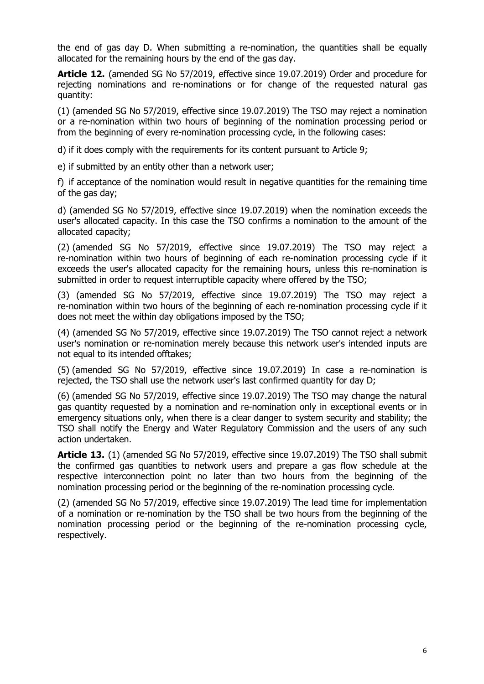the end of gas day D. When submitting a re-nomination, the quantities shall be equally allocated for the remaining hours by the end of the gas day.

**Article 12.** (amended SG No 57/2019, effective since 19.07.2019) Order and procedure for rejecting nominations and re-nominations or for change of the requested natural gas quantity:

(1) (amended SG No 57/2019, effective since 19.07.2019) The TSO may reject a nomination or a re-nomination within two hours of beginning of the nomination processing period or from the beginning of every re-nomination processing cycle, in the following cases:

d) if it does comply with the requirements for its content pursuant to Article 9;

e) if submitted by an entity other than a network user;

f) if acceptance of the nomination would result in negative quantities for the remaining time of the gas day;

d) (amended SG No 57/2019, effective since 19.07.2019) when the nomination exceeds the user's allocated capacity. In this case the TSO confirms a nomination to the amount of the allocated capacity;

(2) (amended SG No 57/2019, effective since 19.07.2019) The TSO may reject a re-nomination within two hours of beginning of each re-nomination processing cycle if it exceeds the user's allocated capacity for the remaining hours, unless this re-nomination is submitted in order to request interruptible capacity where offered by the TSO;

(3) (amended SG No 57/2019, effective since 19.07.2019) The TSO may reject a re-nomination within two hours of the beginning of each re-nomination processing cycle if it does not meet the within day obligations imposed by the TSO;

(4) (amended SG No 57/2019, effective since 19.07.2019) The TSO cannot reject a network user's nomination or re-nomination merely because this network user's intended inputs are not equal to its intended offtakes;

(5) (amended SG No 57/2019, effective since 19.07.2019) In case a re-nomination is rejected, the TSO shall use the network user's last confirmed quantity for day D;

(6) (amended SG No 57/2019, effective since 19.07.2019) The TSO may change the natural gas quantity requested by a nomination and re-nomination only in exceptional events or in emergency situations only, when there is a clear danger to system security and stability; the TSO shall notify the Energy and Water Regulatory Commission and the users of any such action undertaken.

**Article 13.** (1) (amended SG No 57/2019, effective since 19.07.2019) The TSO shall submit the confirmed gas quantities to network users and prepare a gas flow schedule at the respective interconnection point no later than two hours from the beginning of the nomination processing period or the beginning of the re-nomination processing cycle.

(2) (amended SG No 57/2019, effective since 19.07.2019) The lead time for implementation of a nomination or re-nomination by the TSO shall be two hours from the beginning of the nomination processing period or the beginning of the re-nomination processing cycle, respectively.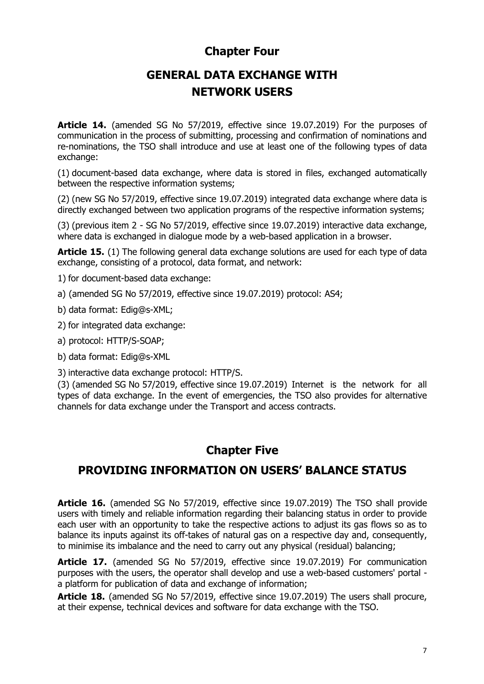#### **Chapter Four**

# **GENERAL DATA EXCHANGE WITH NETWORK USERS**

**Article 14.** (amended SG No 57/2019, effective since 19.07.2019) For the purposes of communication in the process of submitting, processing and confirmation of nominations and re-nominations, the TSO shall introduce and use at least one of the following types of data exchange:

(1) document-based data exchange, where data is stored in files, exchanged automatically between the respective information systems;

(2) (new SG No 57/2019, effective since 19.07.2019) integrated data exchange where data is directly exchanged between two application programs of the respective information systems;

(3) (previous item 2 - SG No 57/2019, effective since 19.07.2019) interactive data exchange, where data is exchanged in dialogue mode by a web-based application in a browser.

**Article 15.** (1) The following general data exchange solutions are used for each type of data exchange, consisting of a protocol, data format, and network:

1) for document-based data exchange:

a) (amended SG No 57/2019, effective since 19.07.2019) protocol: AS4;

b) data format: Edig@s-XML;

2) for integrated data exchange:

a) protocol: HTTP/S-SOAP;

b) data format: Edig@s-XML

3) interactive data exchange protocol: HTTP/S.

(3) (amended SG No 57/2019, effective since 19.07.2019) Internet is the network for all types of data exchange. In the event of emergencies, the TSO also provides for alternative channels for data exchange under the Transport and access contracts.

#### **Chapter Five**

#### **PROVIDING INFORMATION ON USERS' BALANCE STATUS**

**Article 16.** (amended SG No 57/2019, effective since 19.07.2019) The TSO shall provide users with timely and reliable information regarding their balancing status in order to provide each user with an opportunity to take the respective actions to adjust its gas flows so as to balance its inputs against its off-takes of natural gas on a respective day and, consequently, to minimise its imbalance and the need to carry out any physical (residual) balancing;

**Article 17.** (amended SG No 57/2019, effective since 19.07.2019) For communication purposes with the users, the operator shall develop and use a web-based customers' portal a platform for publication of data and exchange of information;

**Article 18.** (amended SG No 57/2019, effective since 19.07.2019) The users shall procure, at their expense, technical devices and software for data exchange with the TSO.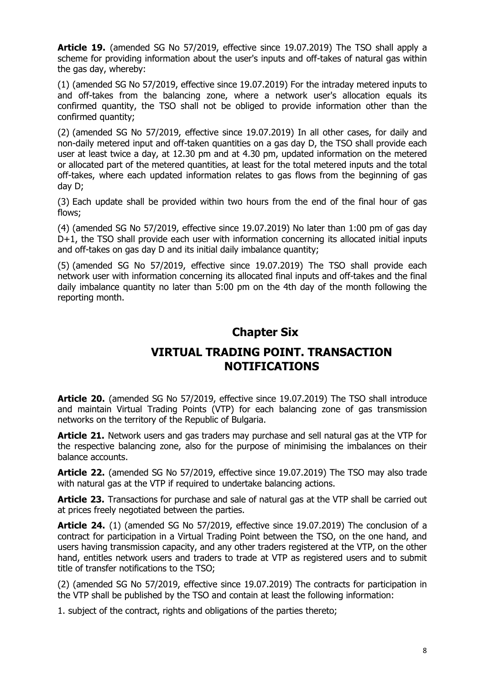**Article 19.** (amended SG No 57/2019, effective since 19.07.2019) The TSO shall apply a scheme for providing information about the user's inputs and off-takes of natural gas within the gas day, whereby:

(1) (amended SG No 57/2019, effective since 19.07.2019) For the intraday metered inputs to and off-takes from the balancing zone, where a network user's allocation equals its confirmed quantity, the TSO shall not be obliged to provide information other than the confirmed quantity;

(2) (amended SG No 57/2019, effective since 19.07.2019) In all other cases, for daily and non-daily metered input and off-taken quantities on a gas day D, the TSO shall provide each user at least twice a day, at 12.30 pm and at 4.30 pm, updated information on the metered or allocated part of the metered quantities, at least for the total metered inputs and the total off-takes, where each updated information relates to gas flows from the beginning of gas day D;

(3) Each update shall be provided within two hours from the end of the final hour of gas flows;

(4) (amended SG No 57/2019, effective since 19.07.2019) No later than 1:00 pm of gas day D+1, the TSO shall provide each user with information concerning its allocated initial inputs and off-takes on gas day D and its initial daily imbalance quantity;

(5) (amended SG No 57/2019, effective since 19.07.2019) The TSO shall provide each network user with information concerning its allocated final inputs and off-takes and the final daily imbalance quantity no later than 5:00 pm on the 4th day of the month following the reporting month.

#### **Chapter Six**

### **VIRTUAL TRADING POINT. TRANSACTION NOTIFICATIONS**

**Article 20.** (amended SG No 57/2019, effective since 19.07.2019) The TSO shall introduce and maintain Virtual Trading Points (VTP) for each balancing zone of gas transmission networks on the territory of the Republic of Bulgaria.

**Article 21.** Network users and gas traders may purchase and sell natural gas at the VTP for the respective balancing zone, also for the purpose of minimising the imbalances on their balance accounts.

**Article 22.** (amended SG No 57/2019, effective since 19.07.2019) The TSO may also trade with natural gas at the VTP if required to undertake balancing actions.

**Article 23.** Transactions for purchase and sale of natural gas at the VTP shall be carried out at prices freely negotiated between the parties.

**Article 24.** (1) (amended SG No 57/2019, effective since 19.07.2019) The conclusion of a contract for participation in a Virtual Trading Point between the TSO, on the one hand, and users having transmission capacity, and any other traders registered at the VTP, on the other hand, entitles network users and traders to trade at VTP as registered users and to submit title of transfer notifications to the TSO;

(2) (amended SG No 57/2019, effective since 19.07.2019) The contracts for participation in the VTP shall be published by the TSO and contain at least the following information:

1. subject of the contract, rights and obligations of the parties thereto;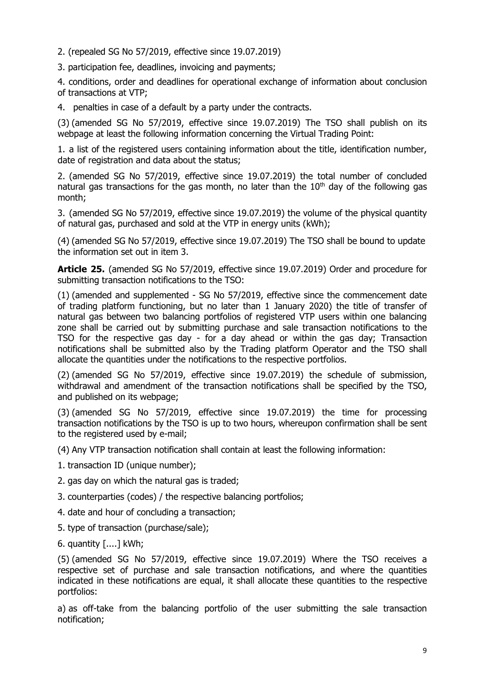2. (repealed SG No 57/2019, effective since 19.07.2019)

3. participation fee, deadlines, invoicing and payments;

4. conditions, order and deadlines for operational exchange of information about conclusion of transactions at VTP;

4. penalties in case of a default by a party under the contracts.

(3) (amended SG No 57/2019, effective since 19.07.2019) The TSO shall publish on its webpage at least the following information concerning the Virtual Trading Point:

1. a list of the registered users containing information about the title, identification number, date of registration and data about the status;

2. (amended SG No 57/2019, effective since 19.07.2019) the total number of concluded natural gas transactions for the gas month, no later than the  $10<sup>th</sup>$  day of the following gas month;

3. (amended SG No 57/2019, effective since 19.07.2019) the volume of the physical quantity of natural gas, purchased and sold at the VTP in energy units (kWh);

(4) (amended SG No 57/2019, effective since 19.07.2019) The TSO shall be bound to update the information set out in item 3.

**Article 25.** (amended SG No 57/2019, effective since 19.07.2019) Order and procedure for submitting transaction notifications to the TSO:

(1) (amended and supplemented - SG No 57/2019, effective since the commencement date of trading platform functioning, but no later than 1 January 2020) the title of transfer of natural gas between two balancing portfolios of registered VTP users within one balancing zone shall be carried out by submitting purchase and sale transaction notifications to the TSO for the respective gas day - for a day ahead or within the gas day; Transaction notifications shall be submitted also by the Trading platform Operator and the TSO shall allocate the quantities under the notifications to the respective portfolios.

(2) (amended SG No 57/2019, effective since 19.07.2019) the schedule of submission, withdrawal and amendment of the transaction notifications shall be specified by the TSO, and published on its webpage;

(3) (amended SG No 57/2019, effective since 19.07.2019) the time for processing transaction notifications by the TSO is up to two hours, whereupon confirmation shall be sent to the registered used by e-mail;

(4) Any VTP transaction notification shall contain at least the following information:

1. transaction ID (unique number);

2. gas day on which the natural gas is traded;

3. counterparties (codes) / the respective balancing portfolios;

4. date and hour of concluding a transaction;

5. type of transaction (purchase/sale);

6. quantity [....] kWh;

(5) (amended SG No 57/2019, effective since 19.07.2019) Where the TSO receives a respective set of purchase and sale transaction notifications, and where the quantities indicated in these notifications are equal, it shall allocate these quantities to the respective portfolios:

a) as off-take from the balancing portfolio of the user submitting the sale transaction notification;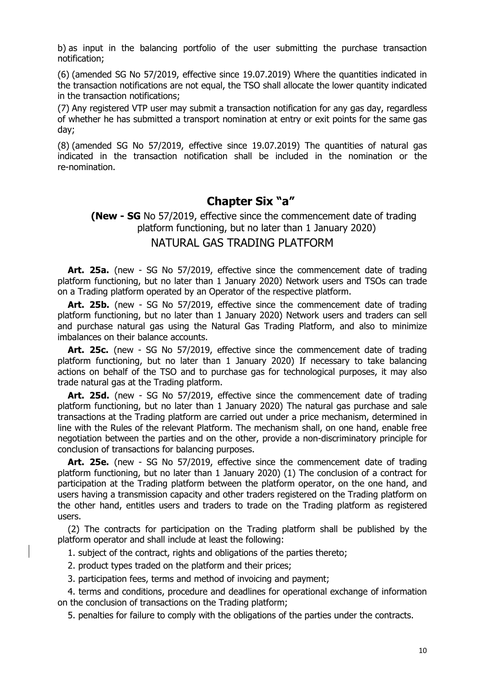b) as input in the balancing portfolio of the user submitting the purchase transaction notification;

(6) (amended SG No 57/2019, effective since 19.07.2019) Where the quantities indicated in the transaction notifications are not equal, the TSO shall allocate the lower quantity indicated in the transaction notifications;

(7) Any registered VTP user may submit a transaction notification for any gas day, regardless of whether he has submitted a transport nomination at entry or exit points for the same gas day;

(8) (amended SG No 57/2019, effective since 19.07.2019) The quantities of natural gas indicated in the transaction notification shall be included in the nomination or the re-nomination.

#### **Chapter Six "a"**

#### **(New - SG** No 57/2019, effective since the commencement date of trading platform functioning, but no later than 1 January 2020) NATURAL GAS TRADING PLATFORM

**Art. 25a.** (new - SG No 57/2019, effective since the commencement date of trading platform functioning, but no later than 1 January 2020) Network users and TSOs can trade on a Trading platform operated by an Operator of the respective platform.

**Art. 25b.** (new - SG No 57/2019, effective since the commencement date of trading platform functioning, but no later than 1 January 2020) Network users and traders can sell and purchase natural gas using the Natural Gas Trading Platform, and also to minimize imbalances on their balance accounts.

**Art. 25c.** (new - SG No 57/2019, effective since the commencement date of trading platform functioning, but no later than 1 January 2020) If necessary to take balancing actions on behalf of the TSO and to purchase gas for technological purposes, it may also trade natural gas at the Trading platform.

Art. 25d. (new - SG No 57/2019, effective since the commencement date of trading platform functioning, but no later than 1 January 2020) The natural gas purchase and sale transactions at the Trading platform are carried out under a price mechanism, determined in line with the Rules of the relevant Platform. The mechanism shall, on one hand, enable free negotiation between the parties and on the other, provide a non-discriminatory principle for conclusion of transactions for balancing purposes.

**Art. 25e.** (new - SG No 57/2019, effective since the commencement date of trading platform functioning, but no later than 1 January 2020) (1) The conclusion of a contract for participation at the Trading platform between the platform operator, on the one hand, and users having a transmission capacity and other traders registered on the Trading platform on the other hand, entitles users and traders to trade on the Trading platform as registered users.

(2) The contracts for participation on the Trading platform shall be published by the platform operator and shall include at least the following:

1. subject of the contract, rights and obligations of the parties thereto;

- 2. product types traded on the platform and their prices;
- 3. participation fees, terms and method of invoicing and payment;

4. terms and conditions, procedure and deadlines for operational exchange of information on the conclusion of transactions on the Trading platform;

5. penalties for failure to comply with the obligations of the parties under the contracts.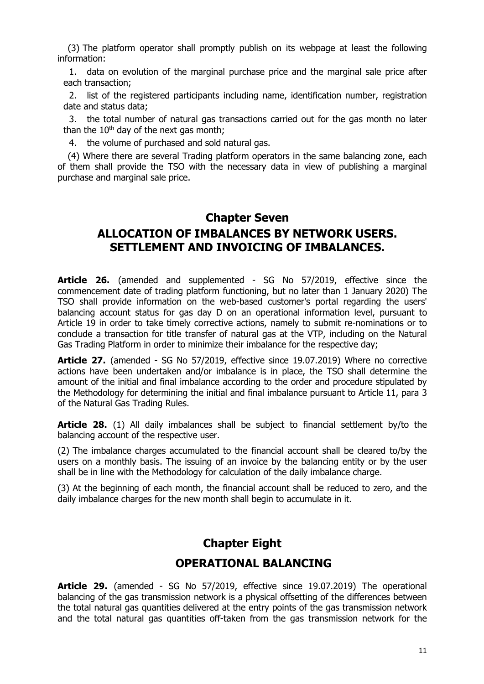(3) The platform operator shall promptly publish on its webpage at least the following information:

1. data on evolution of the marginal purchase price and the marginal sale price after each transaction;

2. list of the registered participants including name, identification number, registration date and status data;

3. the total number of natural gas transactions carried out for the gas month no later than the  $10<sup>th</sup>$  day of the next gas month;

4. the volume of purchased and sold natural gas.

(4) Where there are several Trading platform operators in the same balancing zone, each of them shall provide the TSO with the necessary data in view of publishing a marginal purchase and marginal sale price.

## **Chapter Seven ALLOCATION OF IMBALANCES BY NETWORK USERS. SETTLEMENT AND INVOICING OF IMBALANCES.**

**Article 26.** (amended and supplemented - SG No 57/2019, effective since the commencement date of trading platform functioning, but no later than 1 January 2020) The TSO shall provide information on the web-based customer's portal regarding the users' balancing account status for gas day D on an operational information level, pursuant to Article 19 in order to take timely corrective actions, namely to submit re-nominations or to conclude a transaction for title transfer of natural gas at the VTP, including on the Natural Gas Trading Platform in order to minimize their imbalance for the respective day;

**Article 27.** (amended - SG No 57/2019, effective since 19.07.2019) Where no corrective actions have been undertaken and/or imbalance is in place, the TSO shall determine the amount of the initial and final imbalance according to the order and procedure stipulated by the Methodology for determining the initial and final imbalance pursuant to Article 11, para 3 of the Natural Gas Trading Rules.

**Article 28.** (1) All daily imbalances shall be subject to financial settlement by/to the balancing account of the respective user.

(2) The imbalance charges accumulated to the financial account shall be cleared to/by the users on a monthly basis. The issuing of an invoice by the balancing entity or by the user shall be in line with the Methodology for calculation of the daily imbalance charge.

(3) At the beginning of each month, the financial account shall be reduced to zero, and the daily imbalance charges for the new month shall begin to accumulate in it.

# **Chapter Eight OPERATIONAL BALANCING**

**Article 29.** (amended - SG No 57/2019, effective since 19.07.2019) The operational balancing of the gas transmission network is a physical offsetting of the differences between the total natural gas quantities delivered at the entry points of the gas transmission network and the total natural gas quantities off-taken from the gas transmission network for the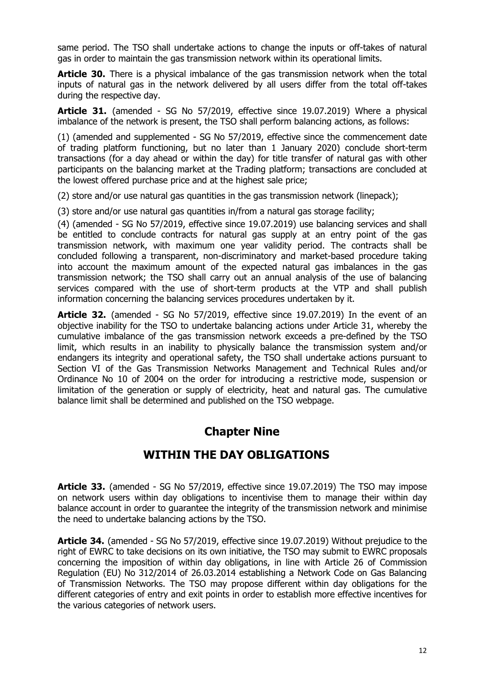same period. The TSO shall undertake actions to change the inputs or off-takes of natural gas in order to maintain the gas transmission network within its operational limits.

**Article 30.** There is a physical imbalance of the gas transmission network when the total inputs of natural gas in the network delivered by all users differ from the total off-takes during the respective day.

**Article 31.** (amended - SG No 57/2019, effective since 19.07.2019) Where a physical imbalance of the network is present, the TSO shall perform balancing actions, as follows:

(1) (amended and supplemented - SG No 57/2019, effective since the commencement date of trading platform functioning, but no later than 1 January 2020) conclude short-term transactions (for a day ahead or within the day) for title transfer of natural gas with other participants on the balancing market at the Trading platform; transactions are concluded at the lowest offered purchase price and at the highest sale price;

(2) store and/or use natural gas quantities in the gas transmission network (linepack);

(3) store and/or use natural gas quantities in/from a natural gas storage facility;

(4) (amended - SG No 57/2019, effective since 19.07.2019) use balancing services and shall be entitled to conclude contracts for natural gas supply at an entry point of the gas transmission network, with maximum one year validity period. The contracts shall be concluded following a transparent, non-discriminatory and market-based procedure taking into account the maximum amount of the expected natural gas imbalances in the gas transmission network; the TSO shall carry out an annual analysis of the use of balancing services compared with the use of short-term products at the VTP and shall publish information concerning the balancing services procedures undertaken by it.

**Article 32.** (amended - SG No 57/2019, effective since 19.07.2019) In the event of an objective inability for the TSO to undertake balancing actions under Article 31, whereby the cumulative imbalance of the gas transmission network exceeds a pre-defined by the TSO limit, which results in an inability to physically balance the transmission system and/or endangers its integrity and operational safety, the TSO shall undertake actions pursuant to Section VI of the Gas Transmission Networks Management and Technical Rules and/or Ordinance No 10 of 2004 on the order for introducing a restrictive mode, suspension or limitation of the generation or supply of electricity, heat and natural gas. The cumulative balance limit shall be determined and published on the TSO webpage.

# **Chapter Nine**

#### **WITHIN THE DAY OBLIGATIONS**

**Article 33.** (amended - SG No 57/2019, effective since 19.07.2019) The TSO may impose on network users within day obligations to incentivise them to manage their within day balance account in order to guarantee the integrity of the transmission network and minimise the need to undertake balancing actions by the TSO.

**Article 34.** (amended - SG No 57/2019, effective since 19.07.2019) Without prejudice to the right of EWRC to take decisions on its own initiative, the TSO may submit to EWRC proposals concerning the imposition of within day obligations, in line with Article 26 of Commission Regulation (EU) No 312/2014 of 26.03.2014 establishing a Network Code on Gas Balancing of Transmission Networks. The TSO may propose different within day obligations for the different categories of entry and exit points in order to establish more effective incentives for the various categories of network users.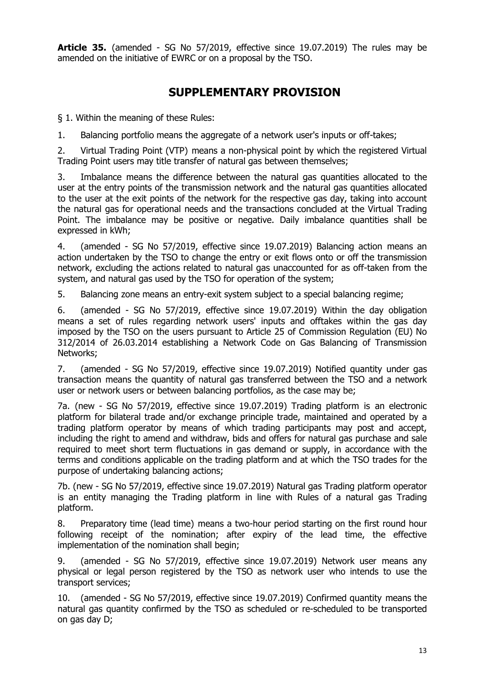**Article 35.** (amended - SG No 57/2019, effective since 19.07.2019) The rules may be amended on the initiative of EWRC or on a proposal by the TSO.

# **SUPPLEMENTARY PROVISION**

§ 1. Within the meaning of these Rules:

1. Balancing portfolio means the aggregate of a network user's inputs or off-takes;

2. Virtual Trading Point (VTP) means a non-physical point by which the registered Virtual Trading Point users may title transfer of natural gas between themselves;

3. Imbalance means the difference between the natural gas quantities allocated to the user at the entry points of the transmission network and the natural gas quantities allocated to the user at the exit points of the network for the respective gas day, taking into account the natural gas for operational needs and the transactions concluded at the Virtual Trading Point. The imbalance may be positive or negative. Daily imbalance quantities shall be expressed in kWh;

4. (amended - SG No 57/2019, effective since 19.07.2019) Balancing action means an action undertaken by the TSO to change the entry or exit flows onto or off the transmission network, excluding the actions related to natural gas unaccounted for as off-taken from the system, and natural gas used by the TSO for operation of the system;

5. Balancing zone means an entry-exit system subject to a special balancing regime;

6. (amended - SG No 57/2019, effective since 19.07.2019) Within the day obligation means a set of rules regarding network users' inputs and offtakes within the gas day imposed by the TSO on the users pursuant to Article 25 of Commission Regulation (EU) No 312/2014 of 26.03.2014 establishing a Network Code on Gas Balancing of Transmission Networks;

7. (amended - SG No 57/2019, effective since 19.07.2019) Notified quantity under gas transaction means the quantity of natural gas transferred between the TSO and a network user or network users or between balancing portfolios, as the case may be;

7a. (new - SG No 57/2019, effective since 19.07.2019) Trading platform is an electronic platform for bilateral trade and/or exchange principle trade, maintained and operated by a trading platform operator by means of which trading participants may post and accept, including the right to amend and withdraw, bids and offers for natural gas purchase and sale required to meet short term fluctuations in gas demand or supply, in accordance with the terms and conditions applicable on the trading platform and at which the TSO trades for the purpose of undertaking balancing actions;

7b. (new - SG No 57/2019, effective since 19.07.2019) Natural gas Trading platform operator is an entity managing the Trading platform in line with Rules of a natural gas Trading platform.

8. Preparatory time (lead time) means a two-hour period starting on the first round hour following receipt of the nomination; after expiry of the lead time, the effective implementation of the nomination shall begin;

9. (amended - SG No 57/2019, effective since 19.07.2019) Network user means any physical or legal person registered by the TSO as network user who intends to use the transport services;

10. (amended - SG No 57/2019, effective since 19.07.2019) Confirmed quantity means the natural gas quantity confirmed by the TSO as scheduled or re-scheduled to be transported on gas day D;